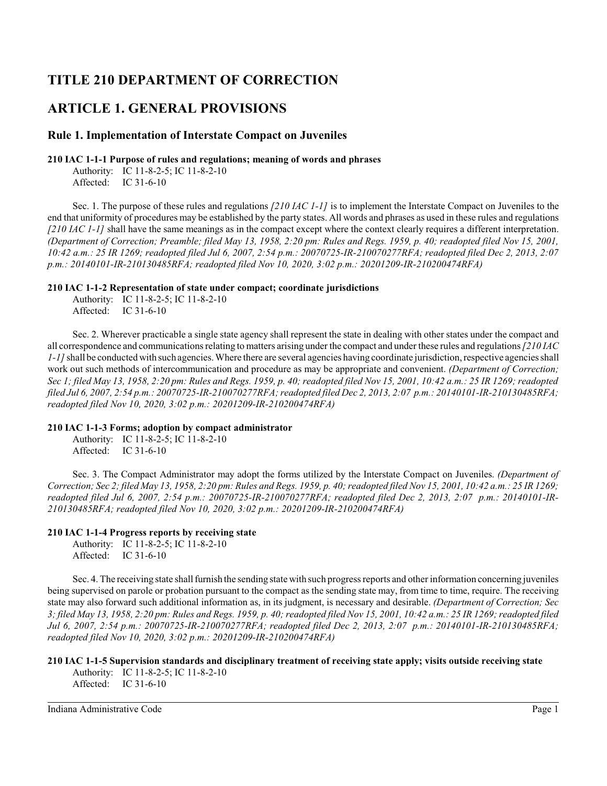# **TITLE 210 DEPARTMENT OF CORRECTION**

# **ARTICLE 1. GENERAL PROVISIONS**

# **Rule 1. Implementation of Interstate Compact on Juveniles**

### **210 IAC 1-1-1 Purpose of rules and regulations; meaning of words and phrases**

Authority: IC 11-8-2-5; IC 11-8-2-10 Affected: IC 31-6-10

Sec. 1. The purpose of these rules and regulations *[210 IAC 1-1]* is to implement the Interstate Compact on Juveniles to the end that uniformity of procedures may be established by the party states. All words and phrases as used in these rules and regulations *[210 IAC 1-1]* shall have the same meanings as in the compact except where the context clearly requires a different interpretation. *(Department of Correction; Preamble; filed May 13, 1958, 2:20 pm: Rules and Regs. 1959, p. 40; readopted filed Nov 15, 2001, 10:42 a.m.: 25 IR 1269; readopted filed Jul 6, 2007, 2:54 p.m.: 20070725-IR-210070277RFA; readopted filed Dec 2, 2013, 2:07 p.m.: 20140101-IR-210130485RFA; readopted filed Nov 10, 2020, 3:02 p.m.: 20201209-IR-210200474RFA)*

### **210 IAC 1-1-2 Representation of state under compact; coordinate jurisdictions**

Authority: IC 11-8-2-5; IC 11-8-2-10 Affected: IC 31-6-10

Sec. 2. Wherever practicable a single state agency shall represent the state in dealing with other states under the compact and all correspondence and communications relating to matters arising under the compact and under these rules and regulations*[210 IAC 1-1]*shall be conducted with such agencies. Where there are several agencies having coordinate jurisdiction, respective agencies shall work out such methods of intercommunication and procedure as may be appropriate and convenient. *(Department of Correction; Sec 1; filed May 13, 1958, 2:20 pm: Rules and Regs. 1959, p. 40; readopted filed Nov 15, 2001, 10:42 a.m.: 25 IR 1269; readopted filed Jul 6, 2007, 2:54 p.m.: 20070725-IR-210070277RFA; readopted filed Dec 2, 2013, 2:07 p.m.: 20140101-IR-210130485RFA; readopted filed Nov 10, 2020, 3:02 p.m.: 20201209-IR-210200474RFA)*

### **210 IAC 1-1-3 Forms; adoption by compact administrator**

Authority: IC 11-8-2-5; IC 11-8-2-10 Affected: IC 31-6-10

Sec. 3. The Compact Administrator may adopt the forms utilized by the Interstate Compact on Juveniles. *(Department of Correction; Sec 2; filed May 13, 1958, 2:20 pm: Rules and Regs. 1959, p. 40; readopted filed Nov 15, 2001, 10:42 a.m.: 25 IR 1269; readopted filed Jul 6, 2007, 2:54 p.m.: 20070725-IR-210070277RFA; readopted filed Dec 2, 2013, 2:07 p.m.: 20140101-IR-210130485RFA; readopted filed Nov 10, 2020, 3:02 p.m.: 20201209-IR-210200474RFA)*

# **210 IAC 1-1-4 Progress reports by receiving state**

Authority: IC 11-8-2-5; IC 11-8-2-10 Affected: IC 31-6-10

Sec. 4. The receiving state shall furnish the sending state with such progress reports and other information concerning juveniles being supervised on parole or probation pursuant to the compact as the sending state may, from time to time, require. The receiving state may also forward such additional information as, in its judgment, is necessary and desirable. *(Department of Correction; Sec 3; filed May 13, 1958, 2:20 pm: Rules and Regs. 1959, p. 40; readopted filed Nov 15, 2001, 10:42 a.m.: 25 IR 1269; readopted filed Jul 6, 2007, 2:54 p.m.: 20070725-IR-210070277RFA; readopted filed Dec 2, 2013, 2:07 p.m.: 20140101-IR-210130485RFA; readopted filed Nov 10, 2020, 3:02 p.m.: 20201209-IR-210200474RFA)*

# **210 IAC 1-1-5 Supervision standards and disciplinary treatment of receiving state apply; visits outside receiving state**

Authority: IC 11-8-2-5; IC 11-8-2-10 Affected: IC 31-6-10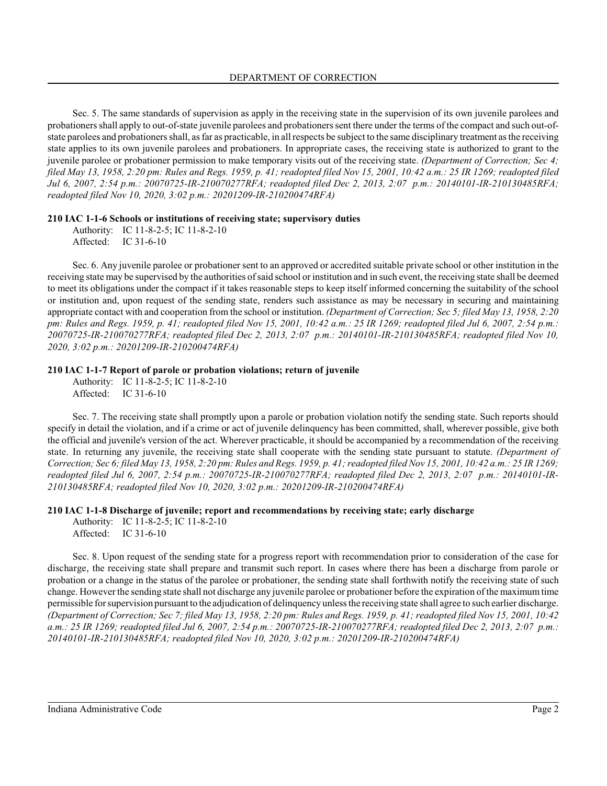Sec. 5. The same standards of supervision as apply in the receiving state in the supervision of its own juvenile parolees and probationers shall apply to out-of-state juvenile parolees and probationers sent there under the terms of the compact and such out-ofstate parolees and probationers shall, as far as practicable, in all respects be subject to the same disciplinary treatment as the receiving state applies to its own juvenile parolees and probationers. In appropriate cases, the receiving state is authorized to grant to the juvenile parolee or probationer permission to make temporary visits out of the receiving state. *(Department of Correction; Sec 4; filed May 13, 1958, 2:20 pm: Rules and Regs. 1959, p. 41; readopted filed Nov 15, 2001, 10:42 a.m.: 25 IR 1269; readopted filed Jul 6, 2007, 2:54 p.m.: 20070725-IR-210070277RFA; readopted filed Dec 2, 2013, 2:07 p.m.: 20140101-IR-210130485RFA; readopted filed Nov 10, 2020, 3:02 p.m.: 20201209-IR-210200474RFA)*

### **210 IAC 1-1-6 Schools or institutions of receiving state; supervisory duties**

Authority: IC 11-8-2-5; IC 11-8-2-10 Affected: IC 31-6-10

Sec. 6. Any juvenile parolee or probationer sent to an approved or accredited suitable private school or other institution in the receiving state may be supervised by the authorities of said school or institution and in such event, the receiving state shall be deemed to meet its obligations under the compact if it takes reasonable steps to keep itself informed concerning the suitability of the school or institution and, upon request of the sending state, renders such assistance as may be necessary in securing and maintaining appropriate contact with and cooperation from the school or institution. *(Department of Correction; Sec 5; filed May 13, 1958, 2:20 pm: Rules and Regs. 1959, p. 41; readopted filed Nov 15, 2001, 10:42 a.m.: 25 IR 1269; readopted filed Jul 6, 2007, 2:54 p.m.: 20070725-IR-210070277RFA; readopted filed Dec 2, 2013, 2:07 p.m.: 20140101-IR-210130485RFA; readopted filed Nov 10, 2020, 3:02 p.m.: 20201209-IR-210200474RFA)*

#### **210 IAC 1-1-7 Report of parole or probation violations; return of juvenile**

Authority: IC 11-8-2-5; IC 11-8-2-10 Affected: IC 31-6-10

Sec. 7. The receiving state shall promptly upon a parole or probation violation notify the sending state. Such reports should specify in detail the violation, and if a crime or act of juvenile delinquency has been committed, shall, wherever possible, give both the official and juvenile's version of the act. Wherever practicable, it should be accompanied by a recommendation of the receiving state. In returning any juvenile, the receiving state shall cooperate with the sending state pursuant to statute. *(Department of Correction; Sec 6; filed May 13, 1958, 2:20 pm: Rules and Regs. 1959, p. 41; readopted filed Nov 15, 2001, 10:42 a.m.: 25 IR 1269; readopted filed Jul 6, 2007, 2:54 p.m.: 20070725-IR-210070277RFA; readopted filed Dec 2, 2013, 2:07 p.m.: 20140101-IR-210130485RFA; readopted filed Nov 10, 2020, 3:02 p.m.: 20201209-IR-210200474RFA)*

#### **210 IAC 1-1-8 Discharge of juvenile; report and recommendations by receiving state; early discharge**

Authority: IC 11-8-2-5; IC 11-8-2-10 Affected: IC 31-6-10

Sec. 8. Upon request of the sending state for a progress report with recommendation prior to consideration of the case for discharge, the receiving state shall prepare and transmit such report. In cases where there has been a discharge from parole or probation or a change in the status of the parolee or probationer, the sending state shall forthwith notify the receiving state of such change. However the sending state shall not discharge any juvenile parolee or probationer before the expiration of the maximumtime permissible for supervision pursuant to the adjudication of delinquency unless the receiving state shall agree to such earlier discharge. *(Department of Correction; Sec 7; filed May 13, 1958, 2:20 pm: Rules and Regs. 1959, p. 41; readopted filed Nov 15, 2001, 10:42 a.m.: 25 IR 1269; readopted filed Jul 6, 2007, 2:54 p.m.: 20070725-IR-210070277RFA; readopted filed Dec 2, 2013, 2:07 p.m.: 20140101-IR-210130485RFA; readopted filed Nov 10, 2020, 3:02 p.m.: 20201209-IR-210200474RFA)*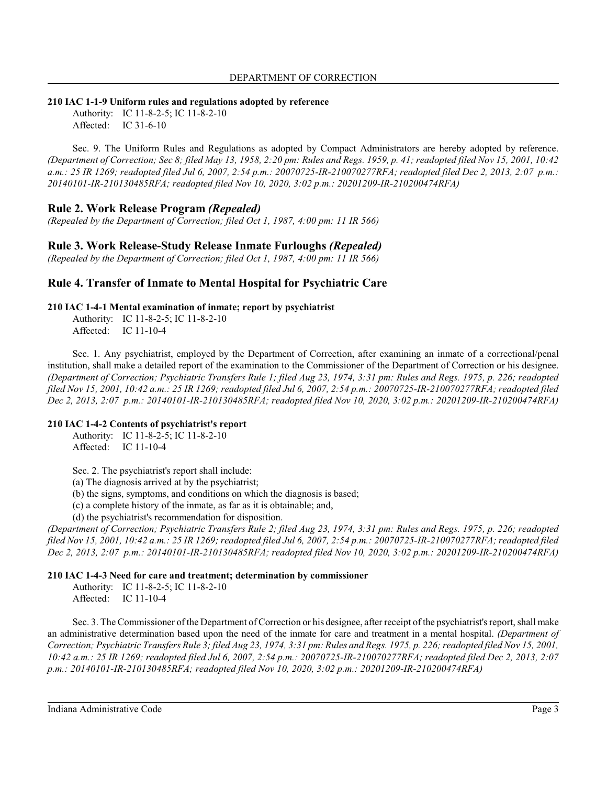### **210 IAC 1-1-9 Uniform rules and regulations adopted by reference**

Authority: IC 11-8-2-5; IC 11-8-2-10 Affected: IC 31-6-10

Sec. 9. The Uniform Rules and Regulations as adopted by Compact Administrators are hereby adopted by reference. *(Department of Correction; Sec 8; filed May 13, 1958, 2:20 pm: Rules and Regs. 1959, p. 41; readopted filed Nov 15, 2001, 10:42 a.m.: 25 IR 1269; readopted filed Jul 6, 2007, 2:54 p.m.: 20070725-IR-210070277RFA; readopted filed Dec 2, 2013, 2:07 p.m.: 20140101-IR-210130485RFA; readopted filed Nov 10, 2020, 3:02 p.m.: 20201209-IR-210200474RFA)*

# **Rule 2. Work Release Program** *(Repealed)*

*(Repealed by the Department of Correction; filed Oct 1, 1987, 4:00 pm: 11 IR 566)*

# **Rule 3. Work Release-Study Release Inmate Furloughs** *(Repealed)*

*(Repealed by the Department of Correction; filed Oct 1, 1987, 4:00 pm: 11 IR 566)*

# **Rule 4. Transfer of Inmate to Mental Hospital for Psychiatric Care**

### **210 IAC 1-4-1 Mental examination of inmate; report by psychiatrist**

Authority: IC 11-8-2-5; IC 11-8-2-10 Affected: IC 11-10-4

Sec. 1. Any psychiatrist, employed by the Department of Correction, after examining an inmate of a correctional/penal institution, shall make a detailed report of the examination to the Commissioner of the Department of Correction or his designee. *(Department of Correction; Psychiatric Transfers Rule 1; filed Aug 23, 1974, 3:31 pm: Rules and Regs. 1975, p. 226; readopted filed Nov 15, 2001, 10:42 a.m.: 25 IR 1269; readopted filed Jul 6, 2007, 2:54 p.m.: 20070725-IR-210070277RFA; readopted filed Dec 2, 2013, 2:07 p.m.: 20140101-IR-210130485RFA; readopted filed Nov 10, 2020, 3:02 p.m.: 20201209-IR-210200474RFA)*

#### **210 IAC 1-4-2 Contents of psychiatrist's report**

Authority: IC 11-8-2-5; IC 11-8-2-10 Affected: IC 11-10-4

Sec. 2. The psychiatrist's report shall include:

(a) The diagnosis arrived at by the psychiatrist;

(b) the signs, symptoms, and conditions on which the diagnosis is based;

(c) a complete history of the inmate, as far as it is obtainable; and,

(d) the psychiatrist's recommendation for disposition.

*(Department of Correction; Psychiatric Transfers Rule 2; filed Aug 23, 1974, 3:31 pm: Rules and Regs. 1975, p. 226; readopted filed Nov 15, 2001, 10:42 a.m.: 25 IR 1269; readopted filed Jul 6, 2007, 2:54 p.m.: 20070725-IR-210070277RFA; readopted filed Dec 2, 2013, 2:07 p.m.: 20140101-IR-210130485RFA; readopted filed Nov 10, 2020, 3:02 p.m.: 20201209-IR-210200474RFA)*

#### **210 IAC 1-4-3 Need for care and treatment; determination by commissioner**

Authority: IC 11-8-2-5; IC 11-8-2-10 Affected: IC 11-10-4

Sec. 3. The Commissioner of the Department of Correction or his designee, after receipt of the psychiatrist's report, shall make an administrative determination based upon the need of the inmate for care and treatment in a mental hospital. *(Department of Correction; Psychiatric Transfers Rule 3; filed Aug 23, 1974, 3:31 pm: Rules and Regs. 1975, p. 226;readopted filed Nov 15, 2001, 10:42 a.m.: 25 IR 1269; readopted filed Jul 6, 2007, 2:54 p.m.: 20070725-IR-210070277RFA; readopted filed Dec 2, 2013, 2:07 p.m.: 20140101-IR-210130485RFA; readopted filed Nov 10, 2020, 3:02 p.m.: 20201209-IR-210200474RFA)*

Indiana Administrative Code Page 3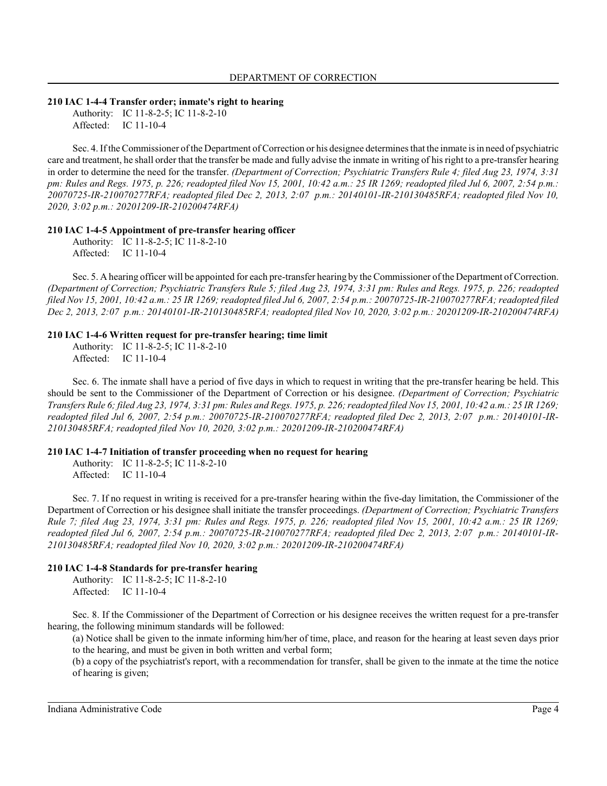#### **210 IAC 1-4-4 Transfer order; inmate's right to hearing**

Authority: IC 11-8-2-5; IC 11-8-2-10 Affected: IC 11-10-4

Sec. 4. If the Commissioner of the Department of Correction or his designee determines that the inmate is in need of psychiatric care and treatment, he shall order that the transfer be made and fully advise the inmate in writing of hisright to a pre-transfer hearing in order to determine the need for the transfer. *(Department of Correction; Psychiatric Transfers Rule 4; filed Aug 23, 1974, 3:31 pm: Rules and Regs. 1975, p. 226; readopted filed Nov 15, 2001, 10:42 a.m.: 25 IR 1269; readopted filed Jul 6, 2007, 2:54 p.m.: 20070725-IR-210070277RFA; readopted filed Dec 2, 2013, 2:07 p.m.: 20140101-IR-210130485RFA; readopted filed Nov 10, 2020, 3:02 p.m.: 20201209-IR-210200474RFA)*

#### **210 IAC 1-4-5 Appointment of pre-transfer hearing officer**

Authority: IC 11-8-2-5; IC 11-8-2-10 Affected: IC 11-10-4

Sec. 5. A hearing officer will be appointed for each pre-transfer hearing by the Commissioner of the Department of Correction. *(Department of Correction; Psychiatric Transfers Rule 5; filed Aug 23, 1974, 3:31 pm: Rules and Regs. 1975, p. 226; readopted filed Nov 15, 2001, 10:42 a.m.: 25 IR 1269; readopted filed Jul 6, 2007, 2:54 p.m.: 20070725-IR-210070277RFA; readopted filed Dec 2, 2013, 2:07 p.m.: 20140101-IR-210130485RFA; readopted filed Nov 10, 2020, 3:02 p.m.: 20201209-IR-210200474RFA)*

#### **210 IAC 1-4-6 Written request for pre-transfer hearing; time limit**

Authority: IC 11-8-2-5; IC 11-8-2-10 Affected: IC 11-10-4

Sec. 6. The inmate shall have a period of five days in which to request in writing that the pre-transfer hearing be held. This should be sent to the Commissioner of the Department of Correction or his designee. *(Department of Correction; Psychiatric Transfers Rule* 6; *filed Aug* 23, 1974, 3:31 *pm: Rules and Regs.* 1975, p. 226; readopted filed Nov 15, 2001, 10:42 a.m.: 25 IR 1269; *readopted filed Jul 6, 2007, 2:54 p.m.: 20070725-IR-210070277RFA; readopted filed Dec 2, 2013, 2:07 p.m.: 20140101-IR-210130485RFA; readopted filed Nov 10, 2020, 3:02 p.m.: 20201209-IR-210200474RFA)*

#### **210 IAC 1-4-7 Initiation of transfer proceeding when no request for hearing**

Authority: IC 11-8-2-5; IC 11-8-2-10 Affected: IC 11-10-4

Sec. 7. If no request in writing is received for a pre-transfer hearing within the five-day limitation, the Commissioner of the Department of Correction or his designee shall initiate the transfer proceedings. *(Department of Correction; Psychiatric Transfers Rule 7; filed Aug 23, 1974, 3:31 pm: Rules and Regs. 1975, p. 226; readopted filed Nov 15, 2001, 10:42 a.m.: 25 IR 1269; readopted filed Jul 6, 2007, 2:54 p.m.: 20070725-IR-210070277RFA; readopted filed Dec 2, 2013, 2:07 p.m.: 20140101-IR-210130485RFA; readopted filed Nov 10, 2020, 3:02 p.m.: 20201209-IR-210200474RFA)*

#### **210 IAC 1-4-8 Standards for pre-transfer hearing**

Authority: IC 11-8-2-5; IC 11-8-2-10 Affected: IC 11-10-4

Sec. 8. If the Commissioner of the Department of Correction or his designee receives the written request for a pre-transfer hearing, the following minimum standards will be followed:

(a) Notice shall be given to the inmate informing him/her of time, place, and reason for the hearing at least seven days prior to the hearing, and must be given in both written and verbal form;

(b) a copy of the psychiatrist's report, with a recommendation for transfer, shall be given to the inmate at the time the notice of hearing is given;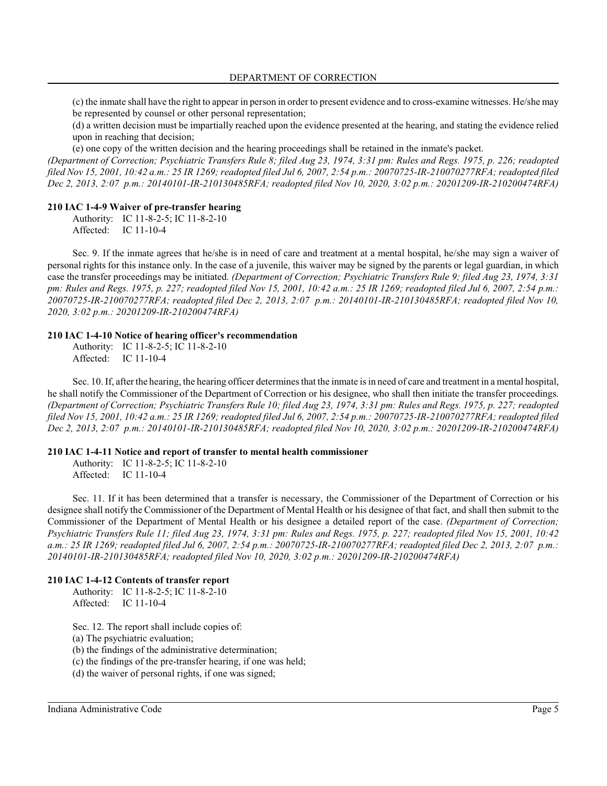(c) the inmate shall have the right to appear in person in order to present evidence and to cross-examine witnesses. He/she may be represented by counsel or other personal representation;

(d) a written decision must be impartially reached upon the evidence presented at the hearing, and stating the evidence relied upon in reaching that decision;

(e) one copy of the written decision and the hearing proceedings shall be retained in the inmate's packet.

*(Department of Correction; Psychiatric Transfers Rule 8; filed Aug 23, 1974, 3:31 pm: Rules and Regs. 1975, p. 226; readopted filed Nov 15, 2001, 10:42 a.m.: 25 IR 1269; readopted filed Jul 6, 2007, 2:54 p.m.: 20070725-IR-210070277RFA; readopted filed Dec 2, 2013, 2:07 p.m.: 20140101-IR-210130485RFA; readopted filed Nov 10, 2020, 3:02 p.m.: 20201209-IR-210200474RFA)*

#### **210 IAC 1-4-9 Waiver of pre-transfer hearing**

Authority: IC 11-8-2-5; IC 11-8-2-10 Affected: IC 11-10-4

Sec. 9. If the inmate agrees that he/she is in need of care and treatment at a mental hospital, he/she may sign a waiver of personal rights for this instance only. In the case of a juvenile, this waiver may be signed by the parents or legal guardian, in which case the transfer proceedings may be initiated. *(Department of Correction; Psychiatric Transfers Rule 9; filed Aug 23, 1974, 3:31 pm: Rules and Regs. 1975, p. 227; readopted filed Nov 15, 2001, 10:42 a.m.: 25 IR 1269; readopted filed Jul 6, 2007, 2:54 p.m.: 20070725-IR-210070277RFA; readopted filed Dec 2, 2013, 2:07 p.m.: 20140101-IR-210130485RFA; readopted filed Nov 10, 2020, 3:02 p.m.: 20201209-IR-210200474RFA)*

#### **210 IAC 1-4-10 Notice of hearing officer's recommendation**

Authority: IC 11-8-2-5; IC 11-8-2-10 Affected: IC 11-10-4

Sec. 10. If, after the hearing, the hearing officer determines that the inmate is in need of care and treatment in a mental hospital, he shall notify the Commissioner of the Department of Correction or his designee, who shall then initiate the transfer proceedings. *(Department of Correction; Psychiatric Transfers Rule 10; filed Aug 23, 1974, 3:31 pm: Rules and Regs. 1975, p. 227; readopted filed Nov 15, 2001, 10:42 a.m.: 25 IR 1269; readopted filed Jul 6, 2007, 2:54 p.m.: 20070725-IR-210070277RFA; readopted filed Dec 2, 2013, 2:07 p.m.: 20140101-IR-210130485RFA; readopted filed Nov 10, 2020, 3:02 p.m.: 20201209-IR-210200474RFA)*

#### **210 IAC 1-4-11 Notice and report of transfer to mental health commissioner**

Authority: IC 11-8-2-5; IC 11-8-2-10 Affected: IC 11-10-4

Sec. 11. If it has been determined that a transfer is necessary, the Commissioner of the Department of Correction or his designee shall notify the Commissioner of the Department of Mental Health or his designee of that fact, and shall then submit to the Commissioner of the Department of Mental Health or his designee a detailed report of the case. *(Department of Correction; Psychiatric Transfers Rule 11; filed Aug 23, 1974, 3:31 pm: Rules and Regs. 1975, p. 227; readopted filed Nov 15, 2001, 10:42 a.m.: 25 IR 1269; readopted filed Jul 6, 2007, 2:54 p.m.: 20070725-IR-210070277RFA; readopted filed Dec 2, 2013, 2:07 p.m.: 20140101-IR-210130485RFA; readopted filed Nov 10, 2020, 3:02 p.m.: 20201209-IR-210200474RFA)*

#### **210 IAC 1-4-12 Contents of transfer report**

Authority: IC 11-8-2-5; IC 11-8-2-10 Affected: IC 11-10-4

Sec. 12. The report shall include copies of:

(a) The psychiatric evaluation;

(b) the findings of the administrative determination;

(c) the findings of the pre-transfer hearing, if one was held;

(d) the waiver of personal rights, if one was signed;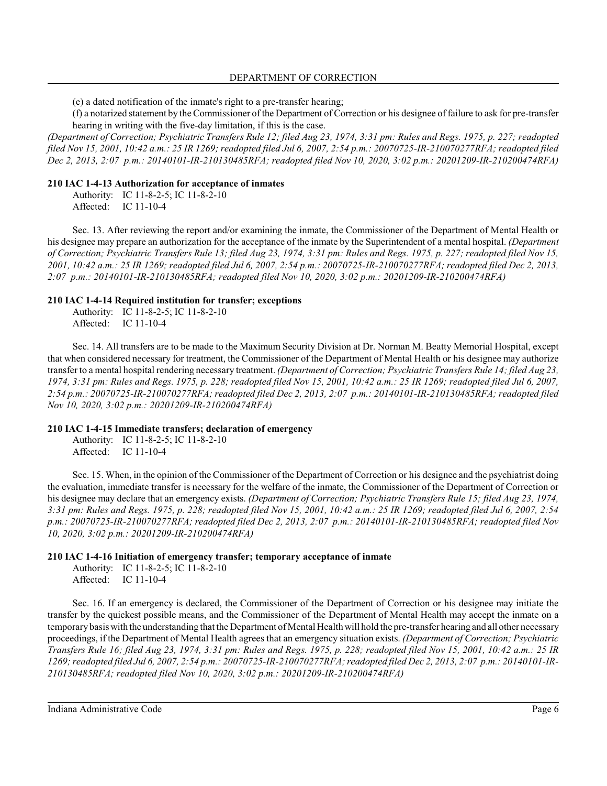### DEPARTMENT OF CORRECTION

(e) a dated notification of the inmate's right to a pre-transfer hearing;

(f) a notarized statement by the Commissioner of the Department of Correction or his designee of failure to ask for pre-transfer hearing in writing with the five-day limitation, if this is the case.

*(Department of Correction; Psychiatric Transfers Rule 12; filed Aug 23, 1974, 3:31 pm: Rules and Regs. 1975, p. 227; readopted filed Nov 15, 2001, 10:42 a.m.: 25 IR 1269; readopted filed Jul 6, 2007, 2:54 p.m.: 20070725-IR-210070277RFA; readopted filed Dec 2, 2013, 2:07 p.m.: 20140101-IR-210130485RFA; readopted filed Nov 10, 2020, 3:02 p.m.: 20201209-IR-210200474RFA)*

### **210 IAC 1-4-13 Authorization for acceptance of inmates**

Authority: IC 11-8-2-5; IC 11-8-2-10 Affected: IC 11-10-4

Sec. 13. After reviewing the report and/or examining the inmate, the Commissioner of the Department of Mental Health or his designee may prepare an authorization for the acceptance of the inmate by the Superintendent of a mental hospital. *(Department of Correction; Psychiatric Transfers Rule 13; filed Aug 23, 1974, 3:31 pm: Rules and Regs. 1975, p. 227; readopted filed Nov 15, 2001, 10:42 a.m.: 25 IR 1269; readopted filed Jul 6, 2007, 2:54 p.m.: 20070725-IR-210070277RFA; readopted filed Dec 2, 2013, 2:07 p.m.: 20140101-IR-210130485RFA; readopted filed Nov 10, 2020, 3:02 p.m.: 20201209-IR-210200474RFA)*

### **210 IAC 1-4-14 Required institution for transfer; exceptions**

Authority: IC 11-8-2-5; IC 11-8-2-10 Affected: IC 11-10-4

Sec. 14. All transfers are to be made to the Maximum Security Division at Dr. Norman M. Beatty Memorial Hospital, except that when considered necessary for treatment, the Commissioner of the Department of Mental Health or his designee may authorize transfer to a mental hospital rendering necessary treatment. *(Department of Correction; Psychiatric Transfers Rule 14; filed Aug 23, 1974, 3:31 pm: Rules and Regs. 1975, p. 228; readopted filed Nov 15, 2001, 10:42 a.m.: 25 IR 1269; readopted filed Jul 6, 2007, 2:54 p.m.: 20070725-IR-210070277RFA; readopted filed Dec 2, 2013, 2:07 p.m.: 20140101-IR-210130485RFA; readopted filed Nov 10, 2020, 3:02 p.m.: 20201209-IR-210200474RFA)*

### **210 IAC 1-4-15 Immediate transfers; declaration of emergency**

Authority: IC 11-8-2-5; IC 11-8-2-10 Affected: IC 11-10-4

Sec. 15. When, in the opinion of the Commissioner of the Department of Correction or his designee and the psychiatrist doing the evaluation, immediate transfer is necessary for the welfare of the inmate, the Commissioner of the Department of Correction or his designee may declare that an emergency exists. *(Department of Correction; Psychiatric Transfers Rule 15; filed Aug 23, 1974, 3:31 pm: Rules and Regs. 1975, p. 228; readopted filed Nov 15, 2001, 10:42 a.m.: 25 IR 1269; readopted filed Jul 6, 2007, 2:54 p.m.: 20070725-IR-210070277RFA; readopted filed Dec 2, 2013, 2:07 p.m.: 20140101-IR-210130485RFA; readopted filed Nov 10, 2020, 3:02 p.m.: 20201209-IR-210200474RFA)*

### **210 IAC 1-4-16 Initiation of emergency transfer; temporary acceptance of inmate**

Authority: IC 11-8-2-5; IC 11-8-2-10 Affected: IC 11-10-4

Sec. 16. If an emergency is declared, the Commissioner of the Department of Correction or his designee may initiate the transfer by the quickest possible means, and the Commissioner of the Department of Mental Health may accept the inmate on a temporary basis with the understanding that the Department of Mental Health will hold the pre-transfer hearing and all other necessary proceedings, if the Department of Mental Health agrees that an emergency situation exists. *(Department of Correction; Psychiatric Transfers Rule 16; filed Aug 23, 1974, 3:31 pm: Rules and Regs. 1975, p. 228; readopted filed Nov 15, 2001, 10:42 a.m.: 25 IR 1269; readopted filed Jul 6, 2007, 2:54 p.m.: 20070725-IR-210070277RFA; readopted filed Dec 2, 2013, 2:07 p.m.: 20140101-IR-210130485RFA; readopted filed Nov 10, 2020, 3:02 p.m.: 20201209-IR-210200474RFA)*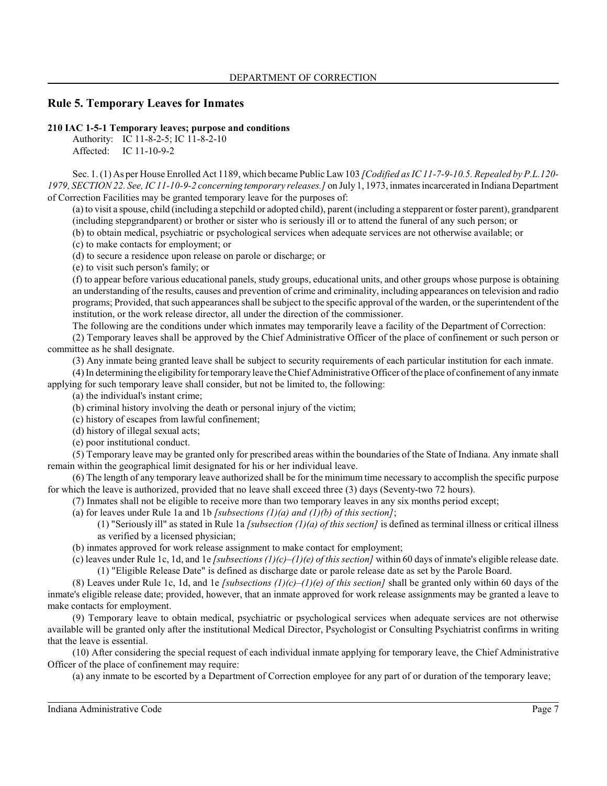# **Rule 5. Temporary Leaves for Inmates**

### **210 IAC 1-5-1 Temporary leaves; purpose and conditions**

Authority: IC 11-8-2-5; IC 11-8-2-10 Affected: IC 11-10-9-2

Sec. 1. (1) As per House Enrolled Act 1189, which became Public Law103 *[Codified as IC 11-7-9-10.5. Repealed by P.L.120- 1979, SECTION 22. See, IC 11-10-9-2 concerning temporary releases.]* on July 1, 1973, inmates incarcerated in Indiana Department of Correction Facilities may be granted temporary leave for the purposes of:

(a) to visit a spouse, child (including a stepchild or adopted child), parent (including a stepparent or foster parent), grandparent (including stepgrandparent) or brother or sister who is seriously ill or to attend the funeral of any such person; or

(b) to obtain medical, psychiatric or psychological services when adequate services are not otherwise available; or

(c) to make contacts for employment; or

(d) to secure a residence upon release on parole or discharge; or

(e) to visit such person's family; or

(f) to appear before various educational panels, study groups, educational units, and other groups whose purpose is obtaining an understanding of the results, causes and prevention of crime and criminality, including appearances on television and radio programs; Provided, that such appearances shall be subject to the specific approval of the warden, or the superintendent of the institution, or the work release director, all under the direction of the commissioner.

The following are the conditions under which inmates may temporarily leave a facility of the Department of Correction:

(2) Temporary leaves shall be approved by the Chief Administrative Officer of the place of confinement or such person or committee as he shall designate.

(3) Any inmate being granted leave shall be subject to security requirements of each particular institution for each inmate.

(4) In determining the eligibilityfor temporary leave the Chief Administrative Officer of the place of confinement of any inmate applying for such temporary leave shall consider, but not be limited to, the following:

(a) the individual's instant crime;

(b) criminal history involving the death or personal injury of the victim;

(c) history of escapes from lawful confinement;

(d) history of illegal sexual acts;

(e) poor institutional conduct.

(5) Temporary leave may be granted only for prescribed areas within the boundaries of the State of Indiana. Any inmate shall remain within the geographical limit designated for his or her individual leave.

(6) The length of any temporary leave authorized shall be for the minimum time necessary to accomplish the specific purpose for which the leave is authorized, provided that no leave shall exceed three (3) days (Seventy-two 72 hours).

(7) Inmates shall not be eligible to receive more than two temporary leaves in any six months period except;

(a) for leaves under Rule 1a and 1b *[subsections (1)(a) and (1)(b) of this section]*;

(1) "Seriously ill" as stated in Rule 1a *[subsection (1)(a) of this section]* is defined as terminal illness or critical illness as verified by a licensed physician;

(b) inmates approved for work release assignment to make contact for employment;

(c) leaves under Rule 1c, 1d, and 1e *[subsections (1)(c)–(1)(e) of this section]* within 60 days of inmate's eligible release date. (1) "Eligible Release Date" is defined as discharge date or parole release date as set by the Parole Board.

(8) Leaves under Rule 1c, 1d, and 1e *[subsections*  $(1)(c)$ *–(1)(e) of this section]* shall be granted only within 60 days of the inmate's eligible release date; provided, however, that an inmate approved for work release assignments may be granted a leave to make contacts for employment.

(9) Temporary leave to obtain medical, psychiatric or psychological services when adequate services are not otherwise available will be granted only after the institutional Medical Director, Psychologist or Consulting Psychiatrist confirms in writing that the leave is essential.

(10) After considering the special request of each individual inmate applying for temporary leave, the Chief Administrative Officer of the place of confinement may require:

(a) any inmate to be escorted by a Department of Correction employee for any part of or duration of the temporary leave;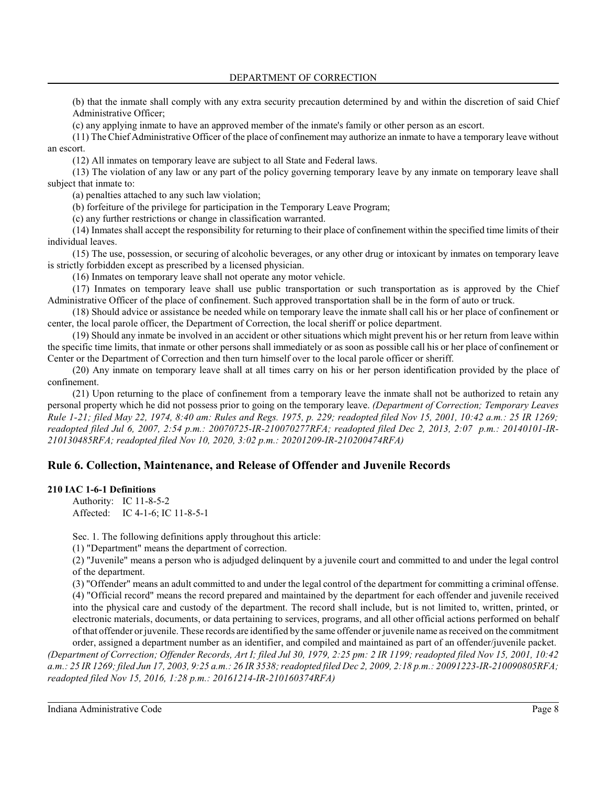(b) that the inmate shall comply with any extra security precaution determined by and within the discretion of said Chief Administrative Officer;

(c) any applying inmate to have an approved member of the inmate's family or other person as an escort.

(11) The Chief Administrative Officer of the place of confinement may authorize an inmate to have a temporary leave without an escort.

(12) All inmates on temporary leave are subject to all State and Federal laws.

(13) The violation of any law or any part of the policy governing temporary leave by any inmate on temporary leave shall subject that inmate to:

(a) penalties attached to any such law violation;

(b) forfeiture of the privilege for participation in the Temporary Leave Program;

(c) any further restrictions or change in classification warranted.

(14) Inmates shall accept the responsibility for returning to their place of confinement within the specified time limits of their individual leaves.

(15) The use, possession, or securing of alcoholic beverages, or any other drug or intoxicant by inmates on temporary leave is strictly forbidden except as prescribed by a licensed physician.

(16) Inmates on temporary leave shall not operate any motor vehicle.

(17) Inmates on temporary leave shall use public transportation or such transportation as is approved by the Chief Administrative Officer of the place of confinement. Such approved transportation shall be in the form of auto or truck.

(18) Should advice or assistance be needed while on temporary leave the inmate shall call his or her place of confinement or center, the local parole officer, the Department of Correction, the local sheriff or police department.

(19) Should any inmate be involved in an accident or other situations which might prevent his or her return from leave within the specific time limits, that inmate or other persons shall immediately or as soon as possible call his or her place of confinement or Center or the Department of Correction and then turn himself over to the local parole officer or sheriff.

(20) Any inmate on temporary leave shall at all times carry on his or her person identification provided by the place of confinement.

(21) Upon returning to the place of confinement from a temporary leave the inmate shall not be authorized to retain any personal property which he did not possess prior to going on the temporary leave. *(Department of Correction; Temporary Leaves Rule 1-21; filed May 22, 1974, 8:40 am: Rules and Regs. 1975, p. 229; readopted filed Nov 15, 2001, 10:42 a.m.: 25 IR 1269; readopted filed Jul 6, 2007, 2:54 p.m.: 20070725-IR-210070277RFA; readopted filed Dec 2, 2013, 2:07 p.m.: 20140101-IR-210130485RFA; readopted filed Nov 10, 2020, 3:02 p.m.: 20201209-IR-210200474RFA)*

# **Rule 6. Collection, Maintenance, and Release of Offender and Juvenile Records**

### **210 IAC 1-6-1 Definitions**

Authority: IC 11-8-5-2 Affected: IC 4-1-6; IC 11-8-5-1

Sec. 1. The following definitions apply throughout this article:

(1) "Department" means the department of correction.

(2) "Juvenile" means a person who is adjudged delinquent by a juvenile court and committed to and under the legal control of the department.

(3) "Offender" means an adult committed to and under the legal control of the department for committing a criminal offense. (4) "Official record" means the record prepared and maintained by the department for each offender and juvenile received into the physical care and custody of the department. The record shall include, but is not limited to, written, printed, or electronic materials, documents, or data pertaining to services, programs, and all other official actions performed on behalf of that offender or juvenile. These records are identified by the same offender or juvenile name as received on the commitment order, assigned a department number as an identifier, and compiled and maintained as part of an offender/juvenile packet.

*(Department of Correction; Offender Records, Art I; filed Jul 30, 1979, 2:25 pm: 2 IR 1199; readopted filed Nov 15, 2001, 10:42 a.m.: 25 IR 1269; filed Jun 17, 2003, 9:25 a.m.: 26 IR 3538; readopted filed Dec 2, 2009, 2:18 p.m.: 20091223-IR-210090805RFA; readopted filed Nov 15, 2016, 1:28 p.m.: 20161214-IR-210160374RFA)*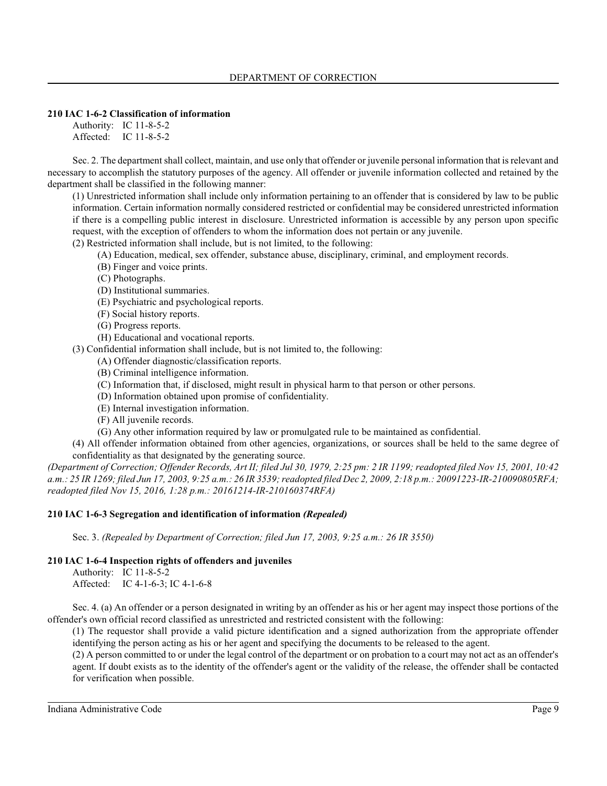### **210 IAC 1-6-2 Classification of information**

Authority: IC 11-8-5-2 Affected: IC 11-8-5-2

Sec. 2. The department shall collect, maintain, and use only that offender or juvenile personal information that is relevant and necessary to accomplish the statutory purposes of the agency. All offender or juvenile information collected and retained by the department shall be classified in the following manner:

(1) Unrestricted information shall include only information pertaining to an offender that is considered by law to be public information. Certain information normally considered restricted or confidential may be considered unrestricted information if there is a compelling public interest in disclosure. Unrestricted information is accessible by any person upon specific request, with the exception of offenders to whom the information does not pertain or any juvenile.

(2) Restricted information shall include, but is not limited, to the following:

- (A) Education, medical, sex offender, substance abuse, disciplinary, criminal, and employment records.
- (B) Finger and voice prints.
- (C) Photographs.
- (D) Institutional summaries.
- (E) Psychiatric and psychological reports.
- (F) Social history reports.
- (G) Progress reports.
- (H) Educational and vocational reports.

(3) Confidential information shall include, but is not limited to, the following:

- (A) Offender diagnostic/classification reports.
- (B) Criminal intelligence information.
- (C) Information that, if disclosed, might result in physical harm to that person or other persons.
- (D) Information obtained upon promise of confidentiality.
- (E) Internal investigation information.
- (F) All juvenile records.
- (G) Any other information required by law or promulgated rule to be maintained as confidential.

(4) All offender information obtained from other agencies, organizations, or sources shall be held to the same degree of confidentiality as that designated by the generating source.

*(Department of Correction; Offender Records, Art II; filed Jul 30, 1979, 2:25 pm: 2 IR 1199; readopted filed Nov 15, 2001, 10:42 a.m.: 25 IR 1269; filed Jun 17, 2003, 9:25 a.m.: 26 IR 3539; readopted filed Dec 2, 2009, 2:18 p.m.: 20091223-IR-210090805RFA; readopted filed Nov 15, 2016, 1:28 p.m.: 20161214-IR-210160374RFA)*

### **210 IAC 1-6-3 Segregation and identification of information** *(Repealed)*

Sec. 3. *(Repealed by Department of Correction; filed Jun 17, 2003, 9:25 a.m.: 26 IR 3550)*

### **210 IAC 1-6-4 Inspection rights of offenders and juveniles**

Authority: IC 11-8-5-2 Affected: IC 4-1-6-3; IC 4-1-6-8

Sec. 4. (a) An offender or a person designated in writing by an offender as his or her agent may inspect those portions of the offender's own official record classified as unrestricted and restricted consistent with the following:

(1) The requestor shall provide a valid picture identification and a signed authorization from the appropriate offender identifying the person acting as his or her agent and specifying the documents to be released to the agent.

(2) A person committed to or under the legal control of the department or on probation to a court may not act as an offender's agent. If doubt exists as to the identity of the offender's agent or the validity of the release, the offender shall be contacted for verification when possible.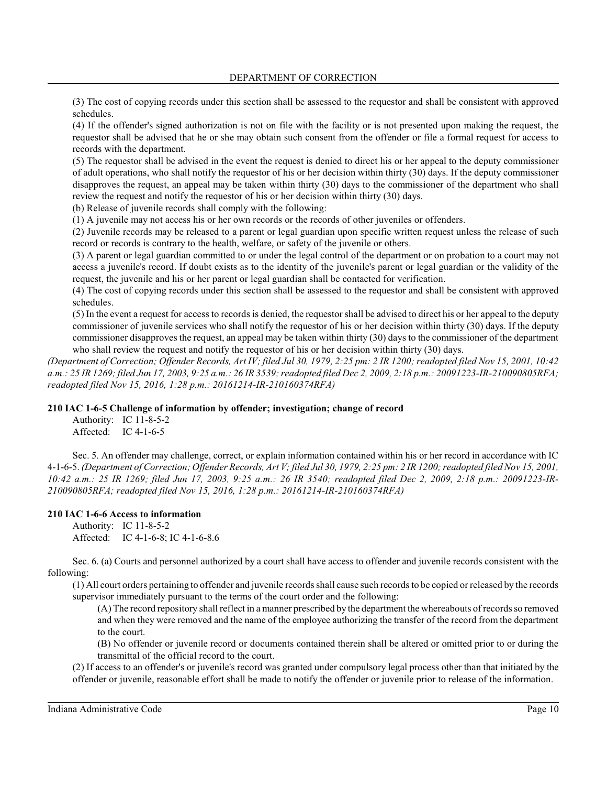(3) The cost of copying records under this section shall be assessed to the requestor and shall be consistent with approved schedules.

(4) If the offender's signed authorization is not on file with the facility or is not presented upon making the request, the requestor shall be advised that he or she may obtain such consent from the offender or file a formal request for access to records with the department.

(5) The requestor shall be advised in the event the request is denied to direct his or her appeal to the deputy commissioner of adult operations, who shall notify the requestor of his or her decision within thirty (30) days. If the deputy commissioner disapproves the request, an appeal may be taken within thirty (30) days to the commissioner of the department who shall review the request and notify the requestor of his or her decision within thirty (30) days.

(b) Release of juvenile records shall comply with the following:

(1) A juvenile may not access his or her own records or the records of other juveniles or offenders.

(2) Juvenile records may be released to a parent or legal guardian upon specific written request unless the release of such record or records is contrary to the health, welfare, or safety of the juvenile or others.

(3) A parent or legal guardian committed to or under the legal control of the department or on probation to a court may not access a juvenile's record. If doubt exists as to the identity of the juvenile's parent or legal guardian or the validity of the request, the juvenile and his or her parent or legal guardian shall be contacted for verification.

(4) The cost of copying records under this section shall be assessed to the requestor and shall be consistent with approved schedules.

(5) In the event a request for access to records is denied, the requestor shall be advised to direct his or her appeal to the deputy commissioner of juvenile services who shall notify the requestor of his or her decision within thirty (30) days. If the deputy commissioner disapproves the request, an appeal may be taken within thirty (30) days to the commissioner of the department who shall review the request and notify the requestor of his or her decision within thirty (30) days.

*(Department of Correction; Offender Records, Art IV; filed Jul 30, 1979, 2:25 pm: 2 IR 1200; readopted filed Nov 15, 2001, 10:42 a.m.: 25 IR 1269; filed Jun 17, 2003, 9:25 a.m.: 26 IR 3539; readopted filed Dec 2, 2009, 2:18 p.m.: 20091223-IR-210090805RFA; readopted filed Nov 15, 2016, 1:28 p.m.: 20161214-IR-210160374RFA)*

### **210 IAC 1-6-5 Challenge of information by offender; investigation; change of record**

Authority: IC 11-8-5-2 Affected: IC 4-1-6-5

Sec. 5. An offender may challenge, correct, or explain information contained within his or her record in accordance with IC 4-1-6-5. *(Department of Correction; Offender Records, Art V; filed Jul 30, 1979, 2:25 pm: 2 IR 1200; readopted filed Nov 15, 2001, 10:42 a.m.: 25 IR 1269; filed Jun 17, 2003, 9:25 a.m.: 26 IR 3540; readopted filed Dec 2, 2009, 2:18 p.m.: 20091223-IR-210090805RFA; readopted filed Nov 15, 2016, 1:28 p.m.: 20161214-IR-210160374RFA)*

### **210 IAC 1-6-6 Access to information**

Authority: IC 11-8-5-2 Affected: IC 4-1-6-8; IC 4-1-6-8.6

Sec. 6. (a) Courts and personnel authorized by a court shall have access to offender and juvenile records consistent with the following:

(1) All court orders pertaining to offender and juvenile records shall cause such records to be copied or released by the records supervisor immediately pursuant to the terms of the court order and the following:

(A) The record repository shall reflect in a manner prescribed by the department the whereabouts of records so removed and when they were removed and the name of the employee authorizing the transfer of the record from the department to the court.

(B) No offender or juvenile record or documents contained therein shall be altered or omitted prior to or during the transmittal of the official record to the court.

(2) If access to an offender's or juvenile's record was granted under compulsory legal process other than that initiated by the offender or juvenile, reasonable effort shall be made to notify the offender or juvenile prior to release of the information.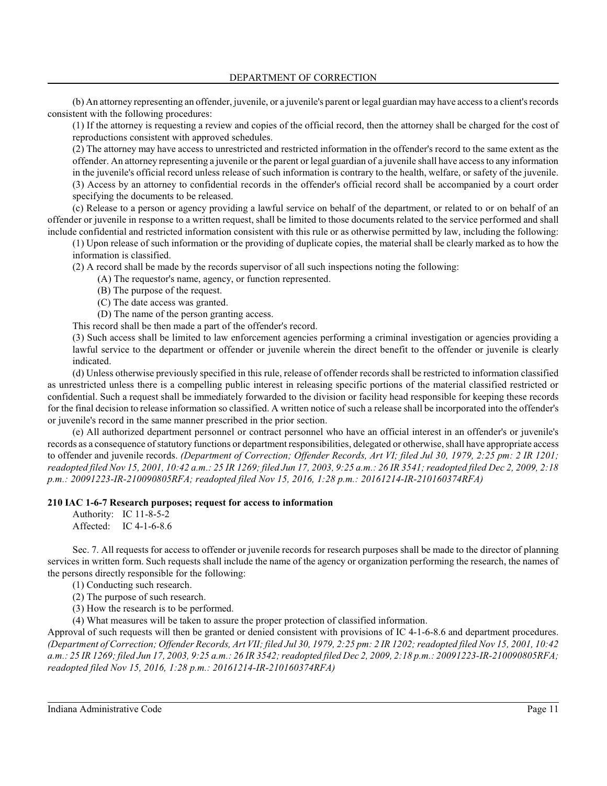(b) An attorney representing an offender, juvenile, or a juvenile's parent or legal guardian may have access to a client's records consistent with the following procedures:

(1) If the attorney is requesting a review and copies of the official record, then the attorney shall be charged for the cost of reproductions consistent with approved schedules.

(2) The attorney may have access to unrestricted and restricted information in the offender's record to the same extent as the offender. An attorney representing a juvenile or the parent or legal guardian of a juvenile shall have access to any information in the juvenile's official record unless release of such information is contrary to the health, welfare, or safety of the juvenile. (3) Access by an attorney to confidential records in the offender's official record shall be accompanied by a court order

specifying the documents to be released.

(c) Release to a person or agency providing a lawful service on behalf of the department, or related to or on behalf of an offender or juvenile in response to a written request, shall be limited to those documents related to the service performed and shall include confidential and restricted information consistent with this rule or as otherwise permitted by law, including the following:

(1) Upon release of such information or the providing of duplicate copies, the material shall be clearly marked as to how the information is classified.

(2) A record shall be made by the records supervisor of all such inspections noting the following:

- (A) The requestor's name, agency, or function represented.
- (B) The purpose of the request.
- (C) The date access was granted.

(D) The name of the person granting access.

This record shall be then made a part of the offender's record.

(3) Such access shall be limited to law enforcement agencies performing a criminal investigation or agencies providing a lawful service to the department or offender or juvenile wherein the direct benefit to the offender or juvenile is clearly indicated.

(d) Unless otherwise previously specified in this rule, release of offender records shall be restricted to information classified as unrestricted unless there is a compelling public interest in releasing specific portions of the material classified restricted or confidential. Such a request shall be immediately forwarded to the division or facility head responsible for keeping these records for the final decision to release information so classified. A written notice of such a release shall be incorporated into the offender's or juvenile's record in the same manner prescribed in the prior section.

(e) All authorized department personnel or contract personnel who have an official interest in an offender's or juvenile's records as a consequence ofstatutory functions or department responsibilities, delegated or otherwise, shall have appropriate access to offender and juvenile records. *(Department of Correction; Offender Records, Art VI; filed Jul 30, 1979, 2:25 pm: 2 IR 1201; readopted filed Nov 15, 2001, 10:42 a.m.: 25 IR 1269; filed Jun 17, 2003, 9:25 a.m.: 26 IR 3541; readopted filed Dec 2, 2009, 2:18 p.m.: 20091223-IR-210090805RFA; readopted filed Nov 15, 2016, 1:28 p.m.: 20161214-IR-210160374RFA)*

#### **210 IAC 1-6-7 Research purposes; request for access to information**

Authority: IC 11-8-5-2 Affected: IC 4-1-6-8.6

Sec. 7. All requests for access to offender or juvenile records for research purposes shall be made to the director of planning services in written form. Such requests shall include the name of the agency or organization performing the research, the names of the persons directly responsible for the following:

(1) Conducting such research.

(2) The purpose of such research.

(3) How the research is to be performed.

(4) What measures will be taken to assure the proper protection of classified information.

Approval of such requests will then be granted or denied consistent with provisions of IC 4-1-6-8.6 and department procedures. *(Department of Correction; Offender Records, Art VII; filed Jul 30, 1979, 2:25 pm: 2 IR 1202; readopted filed Nov 15, 2001, 10:42 a.m.: 25 IR 1269; filed Jun 17, 2003, 9:25 a.m.: 26 IR 3542; readopted filed Dec 2, 2009, 2:18 p.m.: 20091223-IR-210090805RFA; readopted filed Nov 15, 2016, 1:28 p.m.: 20161214-IR-210160374RFA)*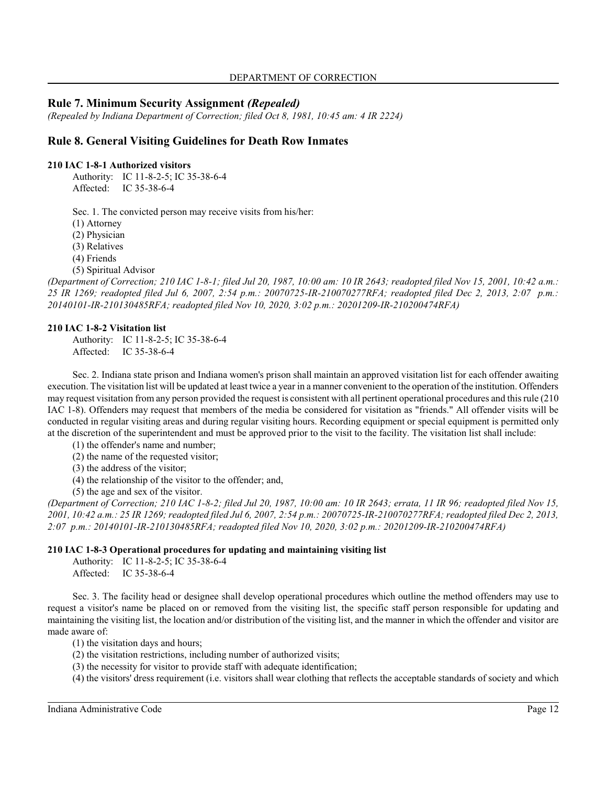# **Rule 7. Minimum Security Assignment** *(Repealed)*

*(Repealed by Indiana Department of Correction; filed Oct 8, 1981, 10:45 am: 4 IR 2224)*

# **Rule 8. General Visiting Guidelines for Death Row Inmates**

#### **210 IAC 1-8-1 Authorized visitors**

Authority: IC 11-8-2-5; IC 35-38-6-4 Affected: IC 35-38-6-4

Sec. 1. The convicted person may receive visits from his/her:

(1) Attorney

(2) Physician

(3) Relatives

(4) Friends

(5) Spiritual Advisor

*(Department of Correction; 210 IAC 1-8-1; filed Jul 20, 1987, 10:00 am: 10 IR 2643; readopted filed Nov 15, 2001, 10:42 a.m.: 25 IR 1269; readopted filed Jul 6, 2007, 2:54 p.m.: 20070725-IR-210070277RFA; readopted filed Dec 2, 2013, 2:07 p.m.: 20140101-IR-210130485RFA; readopted filed Nov 10, 2020, 3:02 p.m.: 20201209-IR-210200474RFA)*

#### **210 IAC 1-8-2 Visitation list**

Authority: IC 11-8-2-5; IC 35-38-6-4 Affected: IC 35-38-6-4

Sec. 2. Indiana state prison and Indiana women's prison shall maintain an approved visitation list for each offender awaiting execution. The visitation list will be updated at least twice a year in a manner convenient to the operation of the institution. Offenders may request visitation from any person provided the request is consistent with all pertinent operational procedures and thisrule (210 IAC 1-8). Offenders may request that members of the media be considered for visitation as "friends." All offender visits will be conducted in regular visiting areas and during regular visiting hours. Recording equipment or special equipment is permitted only at the discretion of the superintendent and must be approved prior to the visit to the facility. The visitation list shall include:

(1) the offender's name and number;

(2) the name of the requested visitor;

(3) the address of the visitor;

(4) the relationship of the visitor to the offender; and,

(5) the age and sex of the visitor.

*(Department of Correction; 210 IAC 1-8-2; filed Jul 20, 1987, 10:00 am: 10 IR 2643; errata, 11 IR 96; readopted filed Nov 15, 2001, 10:42 a.m.: 25 IR 1269; readopted filed Jul 6, 2007, 2:54 p.m.: 20070725-IR-210070277RFA; readopted filed Dec 2, 2013, 2:07 p.m.: 20140101-IR-210130485RFA; readopted filed Nov 10, 2020, 3:02 p.m.: 20201209-IR-210200474RFA)*

#### **210 IAC 1-8-3 Operational procedures for updating and maintaining visiting list**

Authority: IC 11-8-2-5; IC 35-38-6-4 Affected: IC 35-38-6-4

Sec. 3. The facility head or designee shall develop operational procedures which outline the method offenders may use to request a visitor's name be placed on or removed from the visiting list, the specific staff person responsible for updating and maintaining the visiting list, the location and/or distribution of the visiting list, and the manner in which the offender and visitor are made aware of:

(1) the visitation days and hours;

(2) the visitation restrictions, including number of authorized visits;

(3) the necessity for visitor to provide staff with adequate identification;

(4) the visitors' dress requirement (i.e. visitors shall wear clothing that reflects the acceptable standards of society and which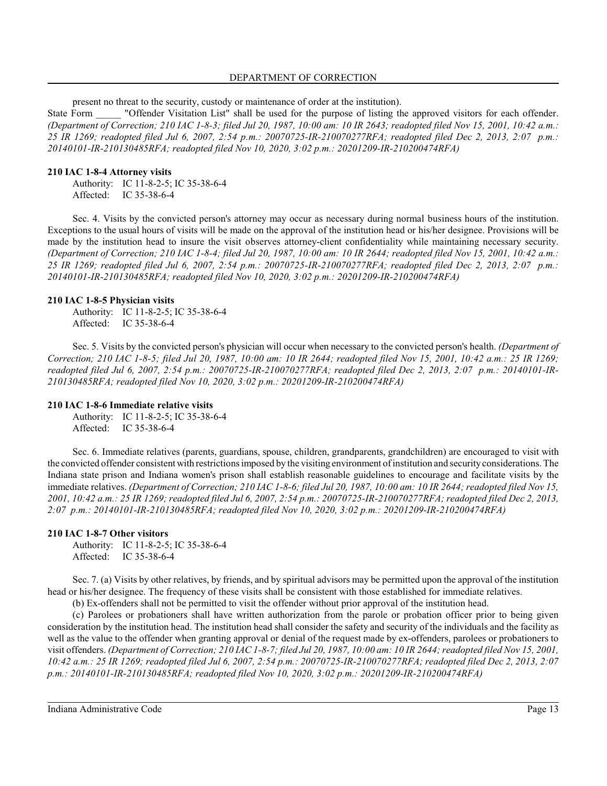### DEPARTMENT OF CORRECTION

present no threat to the security, custody or maintenance of order at the institution).

State Form <sup>"</sup> "Offender Visitation List" shall be used for the purpose of listing the approved visitors for each offender. *(Department of Correction; 210 IAC 1-8-3; filed Jul 20, 1987, 10:00 am: 10 IR 2643; readopted filed Nov 15, 2001, 10:42 a.m.: 25 IR 1269; readopted filed Jul 6, 2007, 2:54 p.m.: 20070725-IR-210070277RFA; readopted filed Dec 2, 2013, 2:07 p.m.: 20140101-IR-210130485RFA; readopted filed Nov 10, 2020, 3:02 p.m.: 20201209-IR-210200474RFA)*

### **210 IAC 1-8-4 Attorney visits**

Authority: IC 11-8-2-5; IC 35-38-6-4 Affected: IC 35-38-6-4

Sec. 4. Visits by the convicted person's attorney may occur as necessary during normal business hours of the institution. Exceptions to the usual hours of visits will be made on the approval of the institution head or his/her designee. Provisions will be made by the institution head to insure the visit observes attorney-client confidentiality while maintaining necessary security. *(Department of Correction; 210 IAC 1-8-4; filed Jul 20, 1987, 10:00 am: 10 IR 2644; readopted filed Nov 15, 2001, 10:42 a.m.: 25 IR 1269; readopted filed Jul 6, 2007, 2:54 p.m.: 20070725-IR-210070277RFA; readopted filed Dec 2, 2013, 2:07 p.m.: 20140101-IR-210130485RFA; readopted filed Nov 10, 2020, 3:02 p.m.: 20201209-IR-210200474RFA)*

### **210 IAC 1-8-5 Physician visits**

Authority: IC 11-8-2-5; IC 35-38-6-4 Affected: IC 35-38-6-4

Sec. 5. Visits by the convicted person's physician will occur when necessary to the convicted person's health. *(Department of Correction; 210 IAC 1-8-5; filed Jul 20, 1987, 10:00 am: 10 IR 2644; readopted filed Nov 15, 2001, 10:42 a.m.: 25 IR 1269; readopted filed Jul 6, 2007, 2:54 p.m.: 20070725-IR-210070277RFA; readopted filed Dec 2, 2013, 2:07 p.m.: 20140101-IR-210130485RFA; readopted filed Nov 10, 2020, 3:02 p.m.: 20201209-IR-210200474RFA)*

### **210 IAC 1-8-6 Immediate relative visits**

Authority: IC 11-8-2-5; IC 35-38-6-4 Affected: IC 35-38-6-4

Sec. 6. Immediate relatives (parents, guardians, spouse, children, grandparents, grandchildren) are encouraged to visit with the convicted offender consistent with restrictions imposed by the visiting environment of institution and securityconsiderations. The Indiana state prison and Indiana women's prison shall establish reasonable guidelines to encourage and facilitate visits by the immediate relatives. *(Department of Correction; 210 IAC 1-8-6; filed Jul 20, 1987, 10:00 am: 10 IR 2644; readopted filed Nov 15, 2001, 10:42 a.m.: 25 IR 1269; readopted filed Jul 6, 2007, 2:54 p.m.: 20070725-IR-210070277RFA; readopted filed Dec 2, 2013, 2:07 p.m.: 20140101-IR-210130485RFA; readopted filed Nov 10, 2020, 3:02 p.m.: 20201209-IR-210200474RFA)*

### **210 IAC 1-8-7 Other visitors**

Authority: IC 11-8-2-5; IC 35-38-6-4 Affected: IC 35-38-6-4

Sec. 7. (a) Visits by other relatives, by friends, and by spiritual advisors may be permitted upon the approval of the institution head or his/her designee. The frequency of these visits shall be consistent with those established for immediate relatives.

(b) Ex-offenders shall not be permitted to visit the offender without prior approval of the institution head.

(c) Parolees or probationers shall have written authorization from the parole or probation officer prior to being given consideration by the institution head. The institution head shall consider the safety and security of the individuals and the facility as well as the value to the offender when granting approval or denial of the request made by ex-offenders, parolees or probationers to visit offenders. *(Department of Correction; 210 IAC 1-8-7; filed Jul 20, 1987, 10:00 am: 10 IR 2644; readopted filed Nov 15, 2001, 10:42 a.m.: 25 IR 1269; readopted filed Jul 6, 2007, 2:54 p.m.: 20070725-IR-210070277RFA; readopted filed Dec 2, 2013, 2:07 p.m.: 20140101-IR-210130485RFA; readopted filed Nov 10, 2020, 3:02 p.m.: 20201209-IR-210200474RFA)*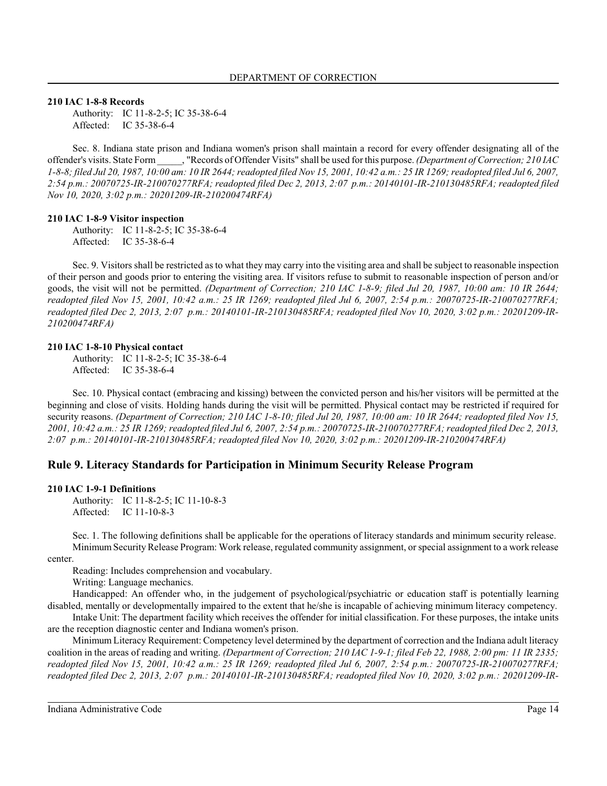**210 IAC 1-8-8 Records**

Authority: IC 11-8-2-5; IC 35-38-6-4 Affected: IC 35-38-6-4

Sec. 8. Indiana state prison and Indiana women's prison shall maintain a record for every offender designating all of the offender's visits. State Form \_\_\_\_\_, "Records of Offender Visits" shall be used for this purpose. *(Department of Correction; 210 IAC 1-8-8; filed Jul 20, 1987, 10:00 am: 10 IR 2644; readopted filed Nov 15, 2001, 10:42 a.m.: 25 IR 1269; readopted filed Jul 6, 2007, 2:54 p.m.: 20070725-IR-210070277RFA; readopted filed Dec 2, 2013, 2:07 p.m.: 20140101-IR-210130485RFA; readopted filed Nov 10, 2020, 3:02 p.m.: 20201209-IR-210200474RFA)*

#### **210 IAC 1-8-9 Visitor inspection**

Authority: IC 11-8-2-5; IC 35-38-6-4 Affected: IC 35-38-6-4

Sec. 9. Visitors shall be restricted as to what they may carry into the visiting area and shall be subject to reasonable inspection of their person and goods prior to entering the visiting area. If visitors refuse to submit to reasonable inspection of person and/or goods, the visit will not be permitted. *(Department of Correction; 210 IAC 1-8-9; filed Jul 20, 1987, 10:00 am: 10 IR 2644; readopted filed Nov 15, 2001, 10:42 a.m.: 25 IR 1269; readopted filed Jul 6, 2007, 2:54 p.m.: 20070725-IR-210070277RFA; readopted filed Dec 2, 2013, 2:07 p.m.: 20140101-IR-210130485RFA; readopted filed Nov 10, 2020, 3:02 p.m.: 20201209-IR-210200474RFA)*

#### **210 IAC 1-8-10 Physical contact**

Authority: IC 11-8-2-5; IC 35-38-6-4 Affected: IC 35-38-6-4

Sec. 10. Physical contact (embracing and kissing) between the convicted person and his/her visitors will be permitted at the beginning and close of visits. Holding hands during the visit will be permitted. Physical contact may be restricted if required for security reasons. *(Department of Correction; 210 IAC 1-8-10; filed Jul 20, 1987, 10:00 am: 10 IR 2644; readopted filed Nov 15, 2001, 10:42 a.m.: 25 IR 1269; readopted filed Jul 6, 2007, 2:54 p.m.: 20070725-IR-210070277RFA; readopted filed Dec 2, 2013, 2:07 p.m.: 20140101-IR-210130485RFA; readopted filed Nov 10, 2020, 3:02 p.m.: 20201209-IR-210200474RFA)*

### **Rule 9. Literacy Standards for Participation in Minimum Security Release Program**

#### **210 IAC 1-9-1 Definitions**

Authority: IC 11-8-2-5; IC 11-10-8-3 Affected: IC 11-10-8-3

Sec. 1. The following definitions shall be applicable for the operations of literacy standards and minimum security release. Minimum Security Release Program: Work release, regulated community assignment, or special assignment to a work release center.

Reading: Includes comprehension and vocabulary.

Writing: Language mechanics.

Handicapped: An offender who, in the judgement of psychological/psychiatric or education staff is potentially learning disabled, mentally or developmentally impaired to the extent that he/she is incapable of achieving minimum literacy competency.

Intake Unit: The department facility which receives the offender for initial classification. For these purposes, the intake units are the reception diagnostic center and Indiana women's prison.

Minimum Literacy Requirement: Competency level determined by the department of correction and the Indiana adult literacy coalition in the areas of reading and writing. *(Department of Correction; 210 IAC 1-9-1; filed Feb 22, 1988, 2:00 pm: 11 IR 2335; readopted filed Nov 15, 2001, 10:42 a.m.: 25 IR 1269; readopted filed Jul 6, 2007, 2:54 p.m.: 20070725-IR-210070277RFA; readopted filed Dec 2, 2013, 2:07 p.m.: 20140101-IR-210130485RFA; readopted filed Nov 10, 2020, 3:02 p.m.: 20201209-IR-*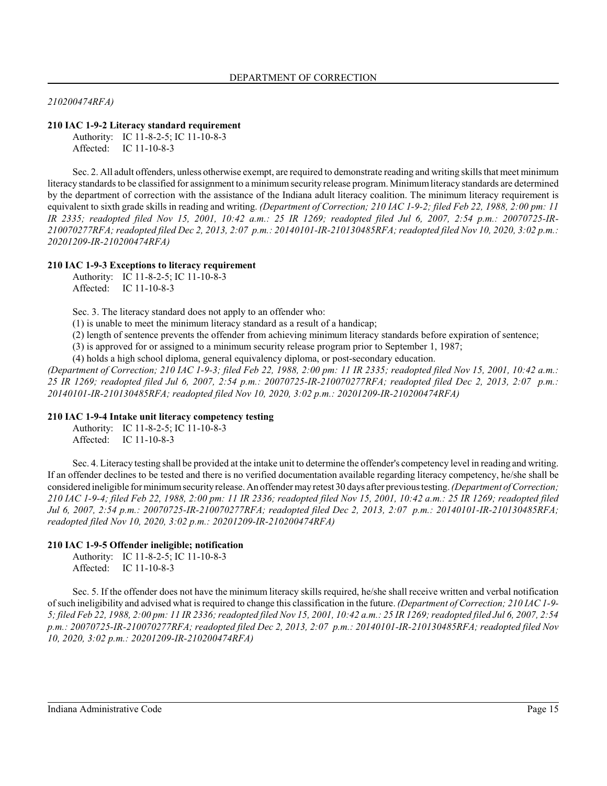### *210200474RFA)*

### **210 IAC 1-9-2 Literacy standard requirement**

Authority: IC 11-8-2-5; IC 11-10-8-3 Affected: IC 11-10-8-3

Sec. 2. All adult offenders, unless otherwise exempt, are required to demonstrate reading and writing skills that meet minimum literacy standards to be classified for assignment to a minimumsecurity release program. Minimumliteracy standards are determined by the department of correction with the assistance of the Indiana adult literacy coalition. The minimum literacy requirement is equivalent to sixth grade skills in reading and writing. *(Department of Correction; 210 IAC 1-9-2; filed Feb 22, 1988, 2:00 pm: 11 IR 2335; readopted filed Nov 15, 2001, 10:42 a.m.: 25 IR 1269; readopted filed Jul 6, 2007, 2:54 p.m.: 20070725-IR-210070277RFA; readopted filed Dec 2, 2013, 2:07 p.m.: 20140101-IR-210130485RFA; readopted filed Nov 10, 2020, 3:02 p.m.: 20201209-IR-210200474RFA)*

### **210 IAC 1-9-3 Exceptions to literacy requirement**

Authority: IC 11-8-2-5; IC 11-10-8-3 Affected: IC 11-10-8-3

Sec. 3. The literacy standard does not apply to an offender who:

(1) is unable to meet the minimum literacy standard as a result of a handicap;

(2) length of sentence prevents the offender from achieving minimum literacy standards before expiration of sentence;

(3) is approved for or assigned to a minimum security release program prior to September 1, 1987;

(4) holds a high school diploma, general equivalency diploma, or post-secondary education.

*(Department of Correction; 210 IAC 1-9-3; filed Feb 22, 1988, 2:00 pm: 11 IR 2335; readopted filed Nov 15, 2001, 10:42 a.m.: 25 IR 1269; readopted filed Jul 6, 2007, 2:54 p.m.: 20070725-IR-210070277RFA; readopted filed Dec 2, 2013, 2:07 p.m.: 20140101-IR-210130485RFA; readopted filed Nov 10, 2020, 3:02 p.m.: 20201209-IR-210200474RFA)*

#### **210 IAC 1-9-4 Intake unit literacy competency testing**

Authority: IC 11-8-2-5; IC 11-10-8-3 Affected: IC 11-10-8-3

Sec. 4. Literacy testing shall be provided at the intake unit to determine the offender's competency level in reading and writing. If an offender declines to be tested and there is no verified documentation available regarding literacy competency, he/she shall be considered ineligible for minimumsecurityrelease. An offender may retest 30 days after previous testing. *(Department of Correction; 210 IAC 1-9-4; filed Feb 22, 1988, 2:00 pm: 11 IR 2336; readopted filed Nov 15, 2001, 10:42 a.m.: 25 IR 1269; readopted filed Jul 6, 2007, 2:54 p.m.: 20070725-IR-210070277RFA; readopted filed Dec 2, 2013, 2:07 p.m.: 20140101-IR-210130485RFA; readopted filed Nov 10, 2020, 3:02 p.m.: 20201209-IR-210200474RFA)*

### **210 IAC 1-9-5 Offender ineligible; notification**

Authority: IC 11-8-2-5; IC 11-10-8-3 Affected: IC 11-10-8-3

Sec. 5. If the offender does not have the minimum literacy skills required, he/she shall receive written and verbal notification of such ineligibility and advised what is required to change this classification in the future. *(Department of Correction; 210 IAC 1-9- 5; filed Feb 22, 1988, 2:00 pm: 11 IR 2336; readopted filed Nov 15, 2001, 10:42 a.m.: 25 IR 1269; readopted filed Jul 6, 2007, 2:54 p.m.: 20070725-IR-210070277RFA; readopted filed Dec 2, 2013, 2:07 p.m.: 20140101-IR-210130485RFA; readopted filed Nov 10, 2020, 3:02 p.m.: 20201209-IR-210200474RFA)*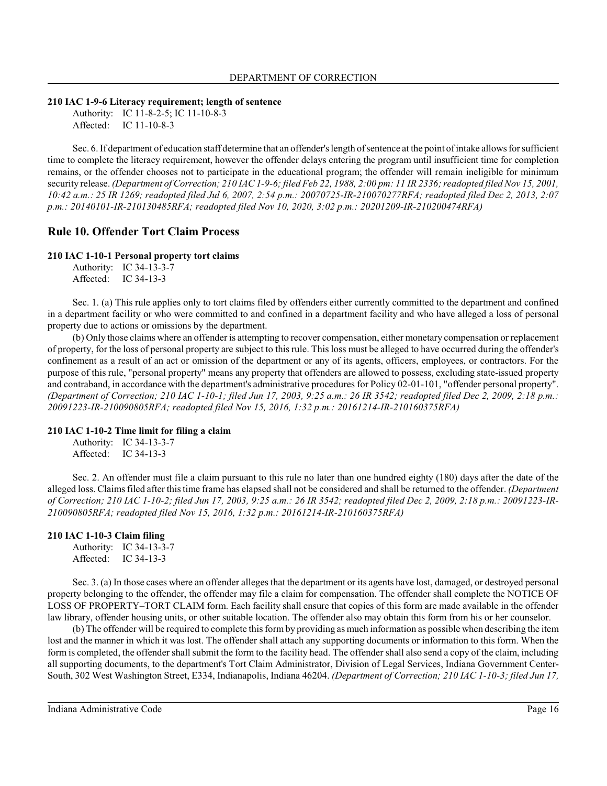#### **210 IAC 1-9-6 Literacy requirement; length of sentence**

Authority: IC 11-8-2-5; IC 11-10-8-3 Affected: IC 11-10-8-3

Sec. 6. If department of education staff determine that an offender's length of sentence at the point of intake allows for sufficient time to complete the literacy requirement, however the offender delays entering the program until insufficient time for completion remains, or the offender chooses not to participate in the educational program; the offender will remain ineligible for minimum security release. *(Department of Correction; 210 IAC 1-9-6; filed Feb 22, 1988, 2:00 pm: 11 IR 2336; readopted filed Nov 15, 2001, 10:42 a.m.: 25 IR 1269; readopted filed Jul 6, 2007, 2:54 p.m.: 20070725-IR-210070277RFA; readopted filed Dec 2, 2013, 2:07 p.m.: 20140101-IR-210130485RFA; readopted filed Nov 10, 2020, 3:02 p.m.: 20201209-IR-210200474RFA)*

# **Rule 10. Offender Tort Claim Process**

#### **210 IAC 1-10-1 Personal property tort claims**

Authority: IC 34-13-3-7 Affected: IC 34-13-3

Sec. 1. (a) This rule applies only to tort claims filed by offenders either currently committed to the department and confined in a department facility or who were committed to and confined in a department facility and who have alleged a loss of personal property due to actions or omissions by the department.

(b) Only those claims where an offender is attempting to recover compensation, either monetary compensation or replacement of property, for the loss of personal property are subject to thisrule. Thisloss must be alleged to have occurred during the offender's confinement as a result of an act or omission of the department or any of its agents, officers, employees, or contractors. For the purpose of this rule, "personal property" means any property that offenders are allowed to possess, excluding state-issued property and contraband, in accordance with the department's administrative procedures for Policy 02-01-101, "offender personal property". *(Department of Correction; 210 IAC 1-10-1; filed Jun 17, 2003, 9:25 a.m.: 26 IR 3542; readopted filed Dec 2, 2009, 2:18 p.m.: 20091223-IR-210090805RFA; readopted filed Nov 15, 2016, 1:32 p.m.: 20161214-IR-210160375RFA)*

#### **210 IAC 1-10-2 Time limit for filing a claim**

Authority: IC 34-13-3-7 Affected: IC 34-13-3

Sec. 2. An offender must file a claim pursuant to this rule no later than one hundred eighty (180) days after the date of the alleged loss. Claims filed after thistime frame has elapsed shall not be considered and shall be returned to the offender. *(Department of Correction; 210 IAC 1-10-2; filed Jun 17, 2003, 9:25 a.m.: 26 IR 3542; readopted filed Dec 2, 2009, 2:18 p.m.: 20091223-IR-210090805RFA; readopted filed Nov 15, 2016, 1:32 p.m.: 20161214-IR-210160375RFA)*

### **210 IAC 1-10-3 Claim filing**

Authority: IC 34-13-3-7 Affected: IC 34-13-3

Sec. 3. (a) In those cases where an offender alleges that the department or its agents have lost, damaged, or destroyed personal property belonging to the offender, the offender may file a claim for compensation. The offender shall complete the NOTICE OF LOSS OF PROPERTY–TORT CLAIM form. Each facility shall ensure that copies of this form are made available in the offender law library, offender housing units, or other suitable location. The offender also may obtain this form from his or her counselor.

(b) The offender will be required to complete thisformby providing as much information as possible when describing the item lost and the manner in which it was lost. The offender shall attach any supporting documents or information to this form. When the form is completed, the offender shall submit the form to the facility head. The offender shall also send a copy of the claim, including all supporting documents, to the department's Tort Claim Administrator, Division of Legal Services, Indiana Government Center-South, 302 West Washington Street, E334, Indianapolis, Indiana 46204. *(Department of Correction; 210 IAC 1-10-3; filed Jun 17,*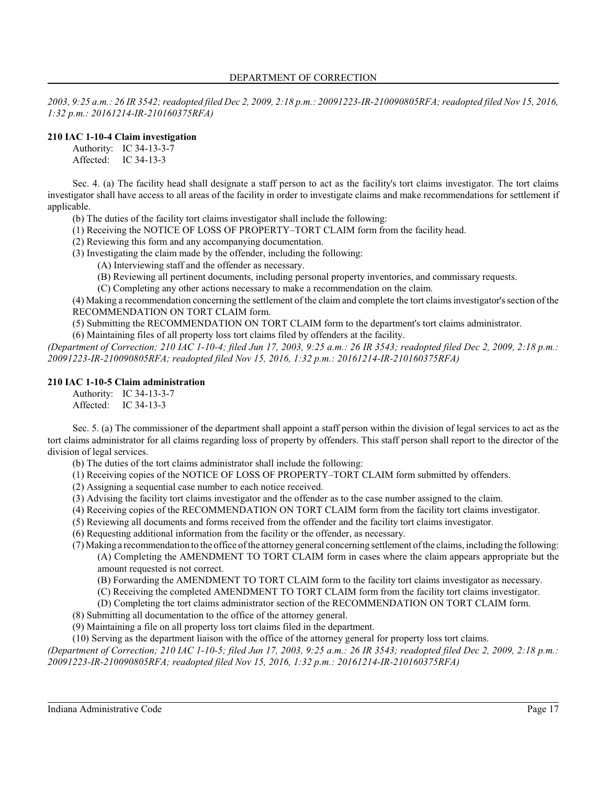*2003, 9:25 a.m.: 26 IR 3542; readopted filed Dec 2, 2009, 2:18 p.m.: 20091223-IR-210090805RFA; readopted filed Nov 15, 2016, 1:32 p.m.: 20161214-IR-210160375RFA)*

# **210 IAC 1-10-4 Claim investigation**

Authority: IC 34-13-3-7

Affected: IC 34-13-3

Sec. 4. (a) The facility head shall designate a staff person to act as the facility's tort claims investigator. The tort claims investigator shall have access to all areas of the facility in order to investigate claims and make recommendations for settlement if applicable.

(b) The duties of the facility tort claims investigator shall include the following:

(1) Receiving the NOTICE OF LOSS OF PROPERTY–TORT CLAIM form from the facility head.

(2) Reviewing this form and any accompanying documentation.

(3) Investigating the claim made by the offender, including the following:

(A) Interviewing staff and the offender as necessary.

(B) Reviewing all pertinent documents, including personal property inventories, and commissary requests.

(C) Completing any other actions necessary to make a recommendation on the claim.

(4) Making a recommendation concerning the settlement of the claim and complete the tort claims investigator'ssection of the RECOMMENDATION ON TORT CLAIM form.

(5) Submitting the RECOMMENDATION ON TORT CLAIM form to the department's tort claims administrator.

(6) Maintaining files of all property loss tort claims filed by offenders at the facility.

*(Department of Correction; 210 IAC 1-10-4; filed Jun 17, 2003, 9:25 a.m.: 26 IR 3543; readopted filed Dec 2, 2009, 2:18 p.m.: 20091223-IR-210090805RFA; readopted filed Nov 15, 2016, 1:32 p.m.: 20161214-IR-210160375RFA)*

# **210 IAC 1-10-5 Claim administration**

Authority: IC 34-13-3-7 Affected: IC 34-13-3

Sec. 5. (a) The commissioner of the department shall appoint a staff person within the division of legal services to act as the tort claims administrator for all claims regarding loss of property by offenders. This staff person shall report to the director of the division of legal services.

(b) The duties of the tort claims administrator shall include the following:

(1) Receiving copies of the NOTICE OF LOSS OF PROPERTY–TORT CLAIM form submitted by offenders.

- (2) Assigning a sequential case number to each notice received.
- (3) Advising the facility tort claims investigator and the offender as to the case number assigned to the claim.
- (4) Receiving copies of the RECOMMENDATION ON TORT CLAIM form from the facility tort claims investigator.
- (5) Reviewing all documents and forms received from the offender and the facility tort claims investigator.
- (6) Requesting additional information from the facility or the offender, as necessary.
- (7) Making a recommendation to the office of the attorney general concerning settlement of the claims, including the following: (A) Completing the AMENDMENT TO TORT CLAIM form in cases where the claim appears appropriate but the amount requested is not correct.
	- (B) Forwarding the AMENDMENT TO TORT CLAIM form to the facility tort claims investigator as necessary.
	- (C) Receiving the completed AMENDMENT TO TORT CLAIM form from the facility tort claims investigator.
	- (D) Completing the tort claims administrator section of the RECOMMENDATION ON TORT CLAIM form.
- (8) Submitting all documentation to the office of the attorney general.
- (9) Maintaining a file on all property loss tort claims filed in the department.

(10) Serving as the department liaison with the office of the attorney general for property loss tort claims.

*(Department of Correction; 210 IAC 1-10-5; filed Jun 17, 2003, 9:25 a.m.: 26 IR 3543; readopted filed Dec 2, 2009, 2:18 p.m.: 20091223-IR-210090805RFA; readopted filed Nov 15, 2016, 1:32 p.m.: 20161214-IR-210160375RFA)*